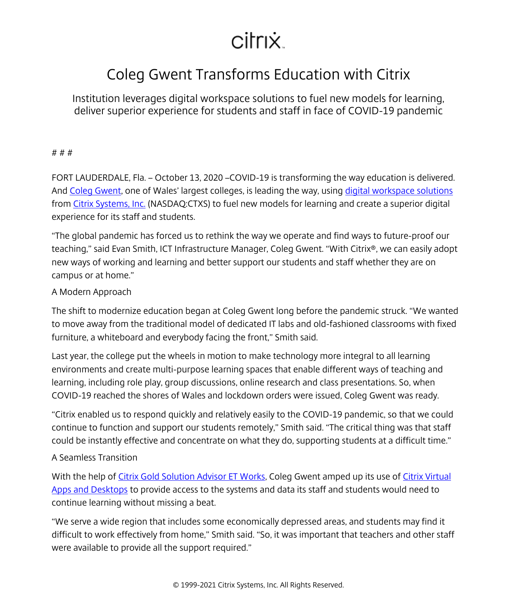# citrix.

# Coleg Gwent Transforms Education with Citrix

Institution leverages digital workspace solutions to fuel new models for learning, deliver superior experience for students and staff in face of COVID-19 pandemic

#### # # #

FORT LAUDERDALE, Fla. – October 13, 2020 –COVID-19 is transforming the way education is delivered. And [Coleg Gwent,](/content/citrix/en-sg/customers/coleg-gwent-en.html) one of Wales' largest colleges, is leading the way, using [digital workspace solutions](/content/citrix/en-sg/products.html) from [Citrix Systems, Inc.](/content/citrix/en-sg/
            .html) (NASDAQ:CTXS) to fuel new models for learning and create a superior digital experience for its staff and students.

"The global pandemic has forced us to rethink the way we operate and find ways to future-proof our teaching," said Evan Smith, ICT Infrastructure Manager, Coleg Gwent. "With Citrix®, we can easily adopt new ways of working and learning and better support our students and staff whether they are on campus or at home."

### A Modern Approach

The shift to modernize education began at Coleg Gwent long before the pandemic struck. "We wanted to move away from the traditional model of dedicated IT labs and old-fashioned classrooms with fixed furniture, a whiteboard and everybody facing the front," Smith said.

Last year, the college put the wheels in motion to make technology more integral to all learning environments and create multi-purpose learning spaces that enable different ways of teaching and learning, including role play, group discussions, online research and class presentations. So, when COVID-19 reached the shores of Wales and lockdown orders were issued, Coleg Gwent was ready.

"Citrix enabled us to respond quickly and relatively easily to the COVID-19 pandemic, so that we could continue to function and support our students remotely," Smith said. "The critical thing was that staff could be instantly effective and concentrate on what they do, supporting students at a difficult time."

## A Seamless Transition

With the help of [Citrix Gold Solution Advisor ET Works,](http://www.etworks.com/) Coleg Gwent amped up its use of [Citrix Virtual](/content/citrix/en-sg/products/citrix-virtual-apps-and-desktops/
            .html) [Apps and Desktops](/content/citrix/en-sg/products/citrix-virtual-apps-and-desktops/
            .html) to provide access to the systems and data its staff and students would need to continue learning without missing a beat.

"We serve a wide region that includes some economically depressed areas, and students may find it difficult to work effectively from home," Smith said. "So, it was important that teachers and other staff were available to provide all the support required."